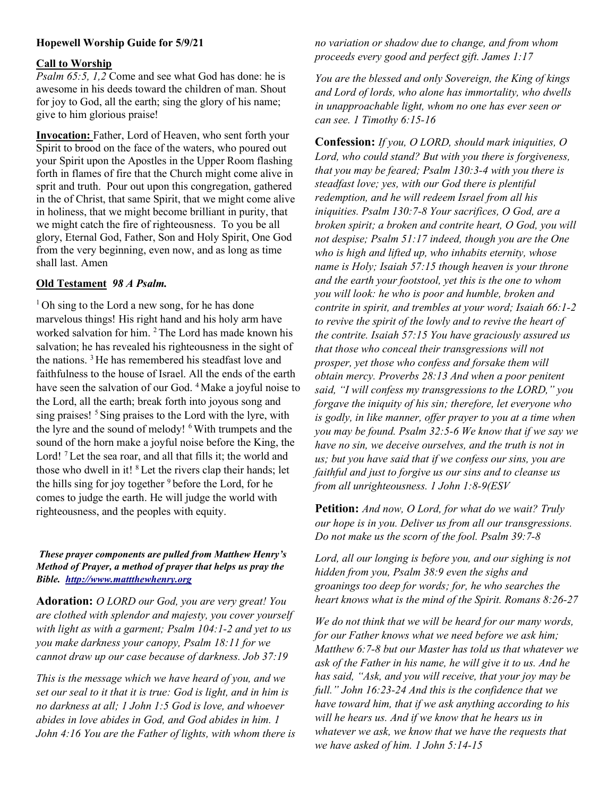## Hopewell Worship Guide for 5/9/21

### Call to Worship

Psalm 65:5, 1,2 Come and see what God has done: he is awesome in his deeds toward the children of man. Shout for joy to God, all the earth; sing the glory of his name; give to him glorious praise!

Invocation: Father, Lord of Heaven, who sent forth your Spirit to brood on the face of the waters, who poured out your Spirit upon the Apostles in the Upper Room flashing forth in flames of fire that the Church might come alive in sprit and truth. Pour out upon this congregation, gathered in the of Christ, that same Spirit, that we might come alive in holiness, that we might become brilliant in purity, that we might catch the fire of righteousness. To you be all glory, Eternal God, Father, Son and Holy Spirit, One God from the very beginning, even now, and as long as time shall last. Amen

## Old Testament 98 A Psalm.

 $1$ Oh sing to the Lord a new song, for he has done marvelous things! His right hand and his holy arm have worked salvation for him. <sup>2</sup> The Lord has made known his salvation; he has revealed his righteousness in the sight of the nations. <sup>3</sup>He has remembered his steadfast love and faithfulness to the house of Israel. All the ends of the earth have seen the salvation of our God. <sup>4</sup> Make a joyful noise to the Lord, all the earth; break forth into joyous song and sing praises! <sup>5</sup> Sing praises to the Lord with the lyre, with the lyre and the sound of melody! <sup>6</sup>With trumpets and the sound of the horn make a joyful noise before the King, the Lord!<sup>7</sup> Let the sea roar, and all that fills it; the world and those who dwell in it! <sup>8</sup> Let the rivers clap their hands; let the hills sing for joy together  $9$  before the Lord, for he comes to judge the earth. He will judge the world with righteousness, and the peoples with equity.

### These prayer components are pulled from Matthew Henry's Method of Prayer, a method of prayer that helps us pray the Bible. http://www.mattthewhenry.org

Adoration: O LORD our God, you are very great! You are clothed with splendor and majesty, you cover yourself with light as with a garment; Psalm 104:1-2 and yet to us you make darkness your canopy, Psalm 18:11 for we cannot draw up our case because of darkness. Job 37:19

This is the message which we have heard of you, and we set our seal to it that it is true: God is light, and in him is no darkness at all; 1 John 1:5 God is love, and whoever abides in love abides in God, and God abides in him. 1 John 4:16 You are the Father of lights, with whom there is no variation or shadow due to change, and from whom proceeds every good and perfect gift. James 1:17

You are the blessed and only Sovereign, the King of kings and Lord of lords, who alone has immortality, who dwells in unapproachable light, whom no one has ever seen or can see. 1 Timothy 6:15-16

Confession: If you, O LORD, should mark iniquities, O Lord, who could stand? But with you there is forgiveness, that you may be feared; Psalm 130:3-4 with you there is steadfast love; yes, with our God there is plentiful redemption, and he will redeem Israel from all his iniquities. Psalm 130:7-8 Your sacrifices, O God, are a broken spirit; a broken and contrite heart, O God, you will not despise; Psalm 51:17 indeed, though you are the One who is high and lifted up, who inhabits eternity, whose name is Holy; Isaiah 57:15 though heaven is your throne and the earth your footstool, yet this is the one to whom you will look: he who is poor and humble, broken and contrite in spirit, and trembles at your word; Isaiah 66:1-2 to revive the spirit of the lowly and to revive the heart of the contrite. Isaiah 57:15 You have graciously assured us that those who conceal their transgressions will not prosper, yet those who confess and forsake them will obtain mercy. Proverbs 28:13 And when a poor penitent said, "I will confess my transgressions to the LORD," you forgave the iniquity of his sin; therefore, let everyone who is godly, in like manner, offer prayer to you at a time when you may be found. Psalm 32:5-6 We know that if we say we have no sin, we deceive ourselves, and the truth is not in us; but you have said that if we confess our sins, you are faithful and just to forgive us our sins and to cleanse us from all unrighteousness. 1 John 1:8-9(ESV

Petition: And now, O Lord, for what do we wait? Truly our hope is in you. Deliver us from all our transgressions. Do not make us the scorn of the fool. Psalm 39:7-8

Lord, all our longing is before you, and our sighing is not hidden from you, Psalm 38:9 even the sighs and groanings too deep for words; for, he who searches the heart knows what is the mind of the Spirit. Romans 8:26-27

We do not think that we will be heard for our many words, for our Father knows what we need before we ask him; Matthew 6:7-8 but our Master has told us that whatever we ask of the Father in his name, he will give it to us. And he has said, "Ask, and you will receive, that your joy may be full." John 16:23-24 And this is the confidence that we have toward him, that if we ask anything according to his will he hears us. And if we know that he hears us in whatever we ask, we know that we have the requests that we have asked of him. 1 John 5:14-15